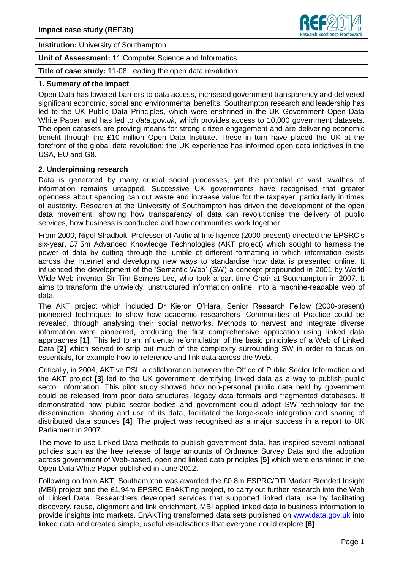

**Institution:** University of Southampton

**Unit of Assessment:** 11 Computer Science and Informatics

**Title of case study:** 11-08 Leading the open data revolution

#### **1. Summary of the impact**

Open Data has lowered barriers to data access, increased government transparency and delivered significant economic, social and environmental benefits. Southampton research and leadership has led to the UK Public Data Principles, which were enshrined in the UK Government Open Data White Paper, and has led to *data.gov.uk*, which provides access to 10,000 government datasets. The open datasets are proving means for strong citizen engagement and are delivering economic benefit through the £10 million Open Data Institute. These in turn have placed the UK at the forefront of the global data revolution: the UK experience has informed open data initiatives in the USA, EU and G8.

#### **2. Underpinning research**

Data is generated by many crucial social processes, yet the potential of vast swathes of information remains untapped. Successive UK governments have recognised that greater openness about spending can cut waste and increase value for the taxpayer, particularly in times of austerity. Research at the University of Southampton has driven the development of the open data movement, showing how transparency of data can revolutionise the delivery of public services, how business is conducted and how communities work together.

From 2000, Nigel Shadbolt, Professor of Artificial Intelligence (2000-present) directed the EPSRC's six-year, £7.5m Advanced Knowledge Technologies (AKT project) which sought to harness the power of data by cutting through the jumble of different formatting in which information exists across the Internet and developing new ways to standardise how data is presented online. It influenced the development of the 'Semantic Web' (SW) a concept propounded in 2001 by World Wide Web inventor Sir Tim Berners-Lee, who took a part-time Chair at Southampton in 2007. It aims to transform the unwieldy, unstructured information online, into a machine-readable web of data.

The AKT project which included Dr Kieron O'Hara, Senior Research Fellow (2000-present) pioneered techniques to show how academic researchers' Communities of Practice could be revealed, through analysing their social networks. Methods to harvest and integrate diverse information were pioneered, producing the first comprehensive application using linked data approaches **[1]**. This led to an influential reformulation of the basic principles of a Web of Linked Data **[2]** which served to strip out much of the complexity surrounding SW in order to focus on essentials, for example how to reference and link data across the Web.

Critically, in 2004, AKTive PSI, a collaboration between the Office of Public Sector Information and the AKT project **[3]** led to the UK government identifying linked data as a way to publish public sector information. This pilot study showed how non-personal public data held by government could be released from poor data structures, legacy data formats and fragmented databases. It demonstrated how public sector bodies and government could adopt SW technology for the dissemination, sharing and use of its data, facilitated the large-scale integration and sharing of distributed data sources **[4]**. The project was recognised as a major success in a report to UK Parliament in 2007.

The move to use Linked Data methods to publish government data, has inspired several national policies such as the free release of large amounts of Ordnance Survey Data and the adoption across government of Web-based, open and linked data principles **[5]** which were enshrined in the Open Data White Paper published in June 2012.

Following on from AKT, Southampton was awarded the £0.8m ESPRC/DTI Market Blended Insight (MBI) project and the £1.94m EPSRC EnAKTing project, to carry out further research into the Web of Linked Data. Researchers developed services that supported linked data use by facilitating discovery, reuse, alignment and link enrichment. MBI applied linked data to business information to provide insights into markets. EnAKTing transformed data sets published on [www.data.gov.uk](http://www.data.gov.uk/) into linked data and created simple, useful visualisations that everyone could explore **[6]**.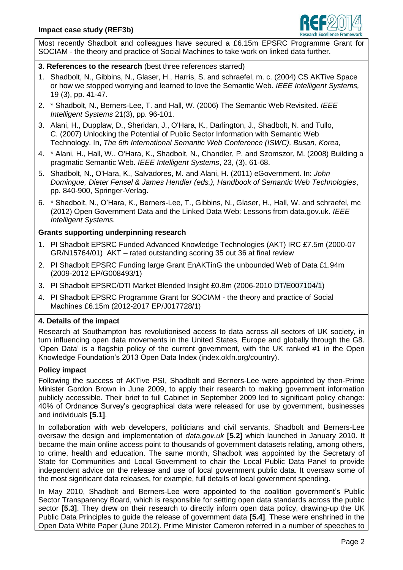

Most recently Shadbolt and colleagues have secured a £6.15m EPSRC Programme Grant for SOCIAM - the theory and practice of Social Machines to take work on linked data further.

# **3. References to the research** (best three references starred)

- 1. Shadbolt, N., Gibbins, N., Glaser, H., Harris, S. and schraefel, m. c. (2004) CS AKTive Space or how we stopped worrying and learned to love the Semantic Web. *IEEE Intelligent Systems,*  19 (3), pp. 41-47.
- 2. \* Shadbolt, N., Berners-Lee, T. and Hall, W. (2006) The Semantic Web Revisited. *IEEE Intelligent Systems* 21(3), pp. 96-101.
- 3. Alani, H., Dupplaw, D., Sheridan, J., O'Hara, K., Darlington, J., Shadbolt, N. and Tullo, C. (2007) Unlocking the Potential of Public Sector Information with Semantic Web Technology. In, *The 6th International Semantic Web Conference (ISWC), Busan, Korea,*
- 4. \* Alani, H., Hall, W., O'Hara, K., Shadbolt, N., Chandler, P. and Szomszor, M. (2008) Building a pragmatic Semantic Web. *IEEE Intelligent Systems*, 23, (3), 61-68.
- 5. Shadbolt, N., O'Hara, K., Salvadores, M. and Alani, H. (2011) eGovernment. In: *John Domingue, Dieter Fensel & James Hendler (eds.), Handbook of Semantic Web Technologies*, pp. 840-900, Springer-Verlag.
- 6. \* Shadbolt, N., O'Hara, K., Berners-Lee, T., Gibbins, N., Glaser, H., Hall, W. and schraefel, mc (2012) Open Government Data and the Linked Data Web: Lessons from data.gov.uk. *IEEE Intelligent Systems.*

#### **Grants supporting underpinning research**

- 1. PI Shadbolt EPSRC Funded Advanced Knowledge Technologies (AKT) IRC £7.5m (2000-07 GR/N15764/01) AKT – rated outstanding scoring 35 out 36 at final review
- 2. PI Shadbolt EPSRC Funding large Grant EnAKTinG the unbounded Web of Data £1.94m (2009-2012 EP/G008493/1)
- 3. PI Shadbolt EPSRC/DTI Market Blended Insight £0.8m (2006-2010 DT/E007104/1)
- 4. PI Shadbolt EPSRC Programme Grant for SOCIAM the theory and practice of Social Machines £6.15m (2012-2017 EP/J017728/1)

# **4. Details of the impact**

Research at Southampton has revolutionised access to data across all sectors of UK society, in turn influencing open data movements in the United States, Europe and globally through the G8. 'Open Data' is a flagship policy of the current government, with the UK ranked #1 in the Open Knowledge Foundation's 2013 Open Data Index (index.okfn.org/country).

#### **Policy impact**

Following the success of AKTive PSI, Shadbolt and Berners-Lee were appointed by then-Prime Minister Gordon Brown in June 2009, to apply their research to making government information publicly accessible. Their brief to full Cabinet in September 2009 led to significant policy change: 40% of Ordnance Survey's geographical data were released for use by government, businesses and individuals **[5.1]**.

In collaboration with web developers, politicians and civil servants, Shadbolt and Berners-Lee oversaw the design and implementation of *data.gov.uk* **[5.2]** which launched in January 2010. It became the main online access point to thousands of government datasets relating, among others, to crime, health and education. The same month, Shadbolt was appointed by the Secretary of State for Communities and Local Government to chair the Local Public Data Panel to provide independent advice on the release and use of local government public data. It oversaw some of the most significant data releases, for example, full details of local government spending.

In May 2010, Shadbolt and Berners-Lee were appointed to the coalition government's Public Sector Transparency Board, which is responsible for setting open data standards across the public sector **[5.3]**. They drew on their research to directly inform open data policy, drawing-up the UK Public Data Principles to guide the release of government data **[5.4]**. These were enshrined in the Open Data White Paper (June 2012). Prime Minister Cameron referred in a number of speeches to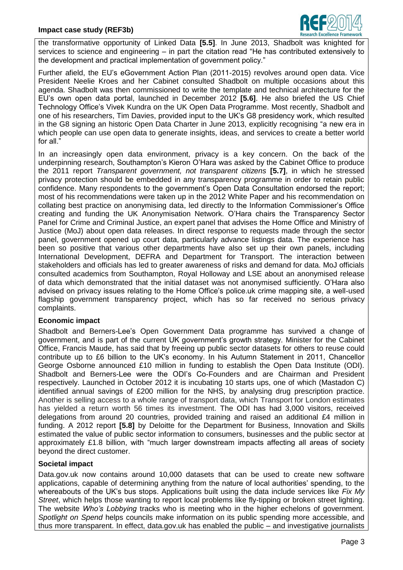

the transformative opportunity of Linked Data **[5.5]**. In June 2013, Shadbolt was knighted for services to science and engineering – in part the citation read "He has contributed extensively to the development and practical implementation of government policy."

Further afield, the EU's eGovernment Action Plan (2011-2015) revolves around open data. Vice President Neelie Kroes and her Cabinet consulted Shadbolt on multiple occasions about this agenda. Shadbolt was then commissioned to write the template and technical architecture for the EU's own open data portal, launched in December 2012 **[5.6]**. He also briefed the US Chief Technology Office's Vivek Kundra on the UK Open Data Programme. Most recently, Shadbolt and one of his researchers, Tim Davies, provided input to the UK's G8 presidency work, which resulted in the G8 signing an historic Open Data Charter in June 2013, explicitly recognising "a new era in which people can use open data to generate insights, ideas, and services to create a better world for all."

In an increasingly open data environment, privacy is a key concern. On the back of the underpinning research, Southampton's Kieron O'Hara was asked by the Cabinet Office to produce the 2011 report *Transparent government, not transparent citizens* **[5.7]**, in which he stressed privacy protection should be embedded in any transparency programme in order to retain public confidence. Many respondents to the government's Open Data Consultation endorsed the report; most of his recommendations were taken up in the 2012 White Paper and his recommendation on collating best practice on anonymising data, led directly to the Information Commissioner's Office creating and funding the UK Anonymisation Network. O'Hara chairs the Transparency Sector Panel for Crime and Criminal Justice, an expert panel that advises the Home Office and Ministry of Justice (MoJ) about open data releases. In direct response to requests made through the sector panel, government opened up court data, particularly advance listings data. The experience has been so positive that various other departments have also set up their own panels, including International Development, DEFRA and Department for Transport. The interaction between stakeholders and officials has led to greater awareness of risks and demand for data. MoJ officials consulted academics from Southampton, Royal Holloway and LSE about an anonymised release of data which demonstrated that the initial dataset was not anonymised sufficiently. O'Hara also advised on privacy issues relating to the Home Office's police.uk crime mapping site, a well-used flagship government transparency project, which has so far received no serious privacy complaints.

# **Economic impact**

Shadbolt and Berners-Lee's Open Government Data programme has survived a change of government, and is part of the current UK government's growth strategy. Minister for the Cabinet Office, Francis Maude, has said that by freeing up public sector datasets for others to reuse could contribute up to £6 billion to the UK's economy. In his Autumn Statement in 2011, Chancellor George Osborne announced £10 million in funding to establish the Open Data Institute (ODI). Shadbolt and Berners-Lee were the ODI's Co-Founders and are Chairman and President respectively. Launched in October 2012 it is incubating 10 starts ups, one of which (Mastadon C) identified annual savings of £200 million for the NHS, by analysing drug prescription practice. Another is selling access to a whole range of transport data, which Transport for London estimates has yielded a return worth 56 times its investment. The ODI has had 3,000 visitors, received delegations from around 20 countries, provided training and raised an additional £4 million in funding. A 2012 report **[5.8]** by Deloitte for the Department for Business, Innovation and Skills estimated the value of public sector information to consumers, businesses and the public sector at approximately £1.8 billion, with "much larger downstream impacts affecting all areas of society beyond the direct customer.

# **Societal impact**

Data.gov.uk now contains around 10,000 datasets that can be used to create new software applications, capable of determining anything from the nature of local authorities' spending, to the whereabouts of the UK's bus stops. Applications built using the data include services like *Fix My Street*, which helps those wanting to report local problems like fly-tipping or broken street lighting. The website *Who's Lobbying* tracks who is meeting who in the higher echelons of government. *Spotlight on Spend* helps councils make information on its public spending more accessible, and thus more transparent. In effect, data.gov.uk has enabled the public – and investigative journalists